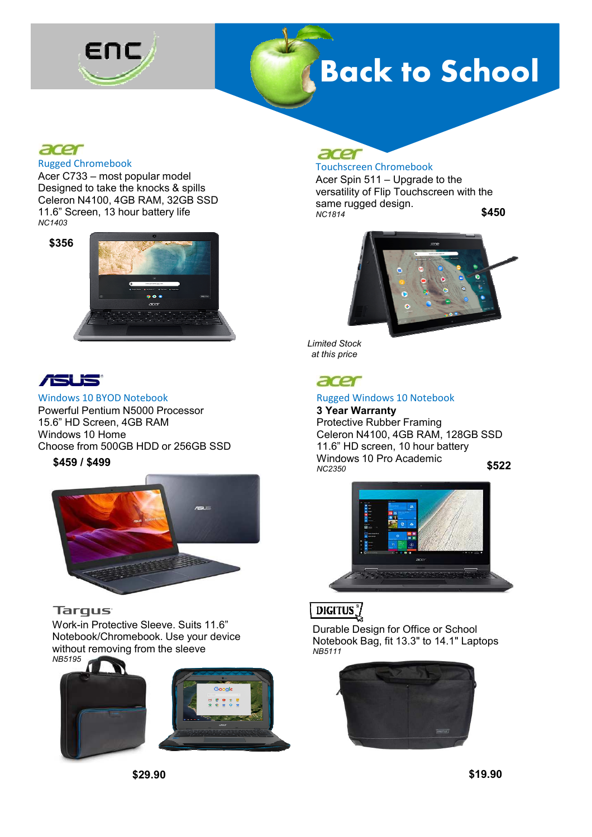

# **Back to School**

### acer

#### Rugged Chromebook

Acer C733 – most popular model Designed to take the knocks & spills Celeron N4100, 4GB RAM, 32GB SSD 11.6" Screen, 13 hour battery life *NC1403*

**\$356**





### Windows 10 BYOD Notebook Powerful Pentium N5000 Processor 15.6" HD Screen, 4GB RAM Windows 10 Home Choose from 500GB HDD or 256GB SSD

**\$459 / \$499**



### **Targus**

Work-in Protective Sleeve. Suits 11.6" Notebook/Chromebook. Use your device without removing from the sleeve *NB5195*



#### $\overline{\phantom{a}}$ Touchscreen Chromebook

Acer Spin 511 – Upgrade to the versatility of Flip Touchscreen with the same rugged design. *NC1814*

**\$450**



*Limited Stock at this price*

### acer

### Rugged Windows 10 Notebook

**3 Year Warranty** Protective Rubber Framing Celeron N4100, 4GB RAM, 128GB SSD 11.6" HD screen, 10 hour battery Windows 10 Pro Academic *NC2350* **\$522**

### DIGITUS<sup>3</sup>/

Durable Design for Office or School Notebook Bag, fit 13.3" to 14.1" Laptops *NB5111*

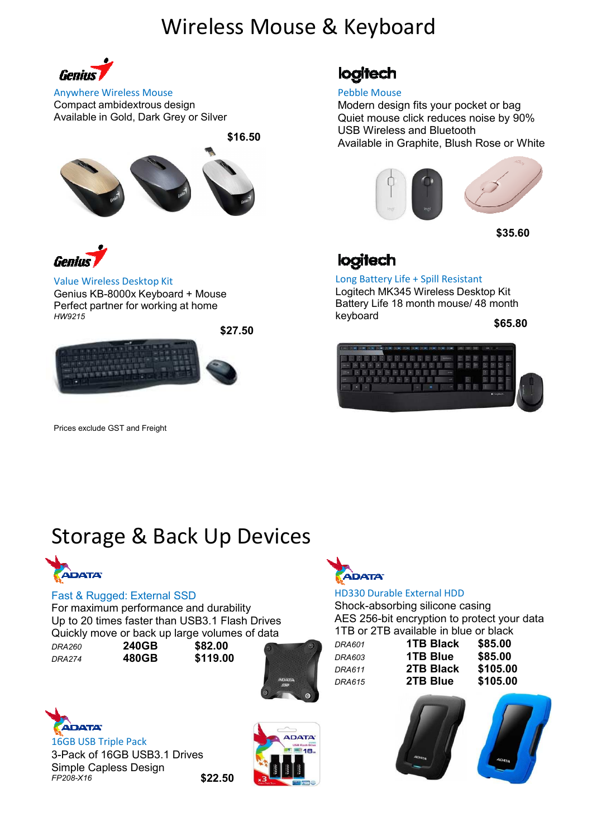## Wireless Mouse & Keyboard



Anywhere Wireless Mouse Compact ambidextrous design Available in Gold, Dark Grey or Silver

**\$16.50**





Value Wireless Desktop Kit

Genius KB-8000x Keyboard + Mouse Perfect partner for working at home *HW9215*



Prices exclude GST and Freight

logitech

### Pebble Mouse

Modern design fits your pocket or bag Quiet mouse click reduces noise by 90% USB Wireless and Bluetooth Available in Graphite, Blush Rose or White



**\$35.60**

### logitech

Long Battery Life + Spill Resistant Logitech MK345 Wireless Desktop Kit Battery Life 18 month mouse/ 48 month keyboard

**\$65.80**



## Storage & Back Up Devices



### Fast & Rugged: External SSD

For maximum performance and durability Up to 20 times faster than USB3.1 Flash Drives Quickly move or back up large volumes of data

*DRA274* **480GB \$119.00** 

*DRA260* **240GB \$82.00** 





16GB USB Triple Pack 3-Pack of 16GB USB3.1 Drives Simple Capless Design *FP208-X16* **\$22.50**





### HD330 Durable External HDD

Shock-absorbing silicone casing AES 256-bit encryption to protect your data 1TB or 2TB available in blue or black

*DRA601* **1TB Black \$85.00**  *DRA603* **1TB Blue \$85.00** *DRA611* **2TB Black \$105.00** *DRA615* **2TB Blue \$105.00**